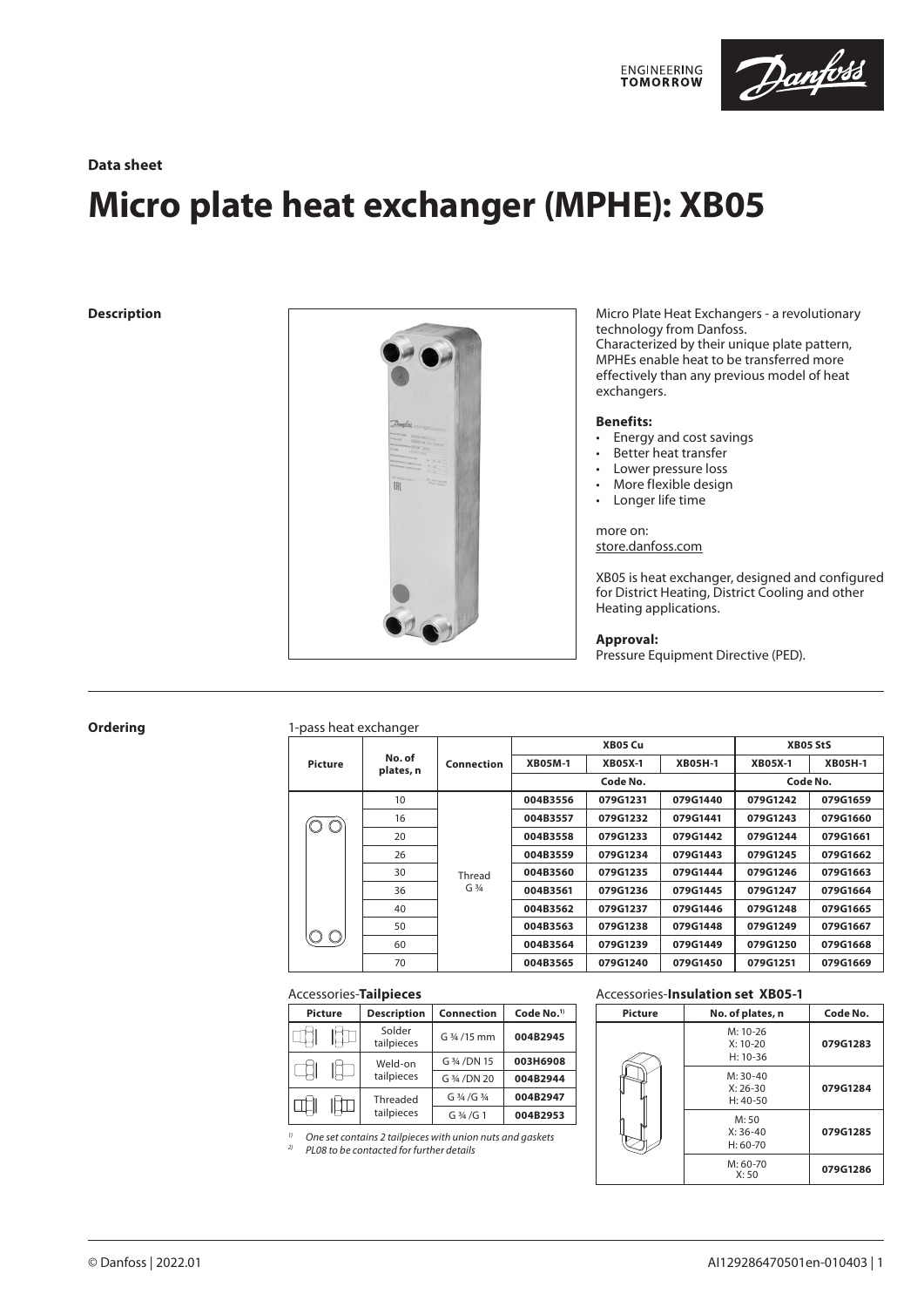

# **Data sheet**

# **Micro plate heat exchanger (MPHE): XB05**



**Description Description Micro Plate Heat Exchangers - a revolutionary** technology from Danfoss. Characterized by their unique plate pattern, MPHEs enable heat to be transferred more effectively than any previous model of heat exchangers.

# **Benefits:**

- Energy and cost savings
- Better heat transfer
- Lower pressure loss
- More flexible design
- Longer life time

more on: store.danfoss.com

XB05 is heat exchanger, designed and configured for District Heating, District Cooling and other Heating applications.

# **Approval:**

Pressure Equipment Directive (PED).

# **Ordering** 1-pass heat exchanger

|         |                     | Connection |                | XB05 Cu        | <b>XB05 StS</b> |                |                |
|---------|---------------------|------------|----------------|----------------|-----------------|----------------|----------------|
| Picture | No. of<br>plates, n |            | <b>XB05M-1</b> | <b>XB05X-1</b> | <b>XB05H-1</b>  | <b>XB05X-1</b> | <b>XB05H-1</b> |
|         |                     |            |                | Code No.       | Code No.        |                |                |
|         | 10                  |            | 004B3556       | 079G1231       | 079G1440        | 079G1242       | 079G1659       |
|         | 16                  |            | 004B3557       | 079G1232       | 079G1441        | 079G1243       | 079G1660       |
|         | 20                  |            | 004B3558       | 079G1233       | 079G1442        | 079G1244       | 079G1661       |
|         | 26                  |            | 004B3559       | 079G1234       | 079G1443        | 079G1245       | 079G1662       |
|         | 30                  | Thread     | 004B3560       | 079G1235       | 079G1444        | 079G1246       | 079G1663       |
|         | 36                  | $G_3/4$    | 004B3561       | 079G1236       | 079G1445        | 079G1247       | 079G1664       |
|         | 40                  |            | 004B3562       | 079G1237       | 079G1446        | 079G1248       | 079G1665       |
|         | 50                  |            | 004B3563       | 079G1238       | 079G1448        | 079G1249       | 079G1667       |
|         | 60                  |            | 004B3564       | 079G1239       | 079G1449        | 079G1250       | 079G1668       |
|         | 70                  |            | 004B3565       | 079G1240       | 079G1450        | 079G1251       | 079G1669       |

# Accessories-**Tailpieces**

| <b>Picture</b> |  | <b>Description</b>   | <b>Connection</b> | Code No. <sup>1)</sup> |  |
|----------------|--|----------------------|-------------------|------------------------|--|
|                |  | Solder<br>tailpieces | G 3/4 / 15 mm     | 004B2945               |  |
|                |  | Weld-on              | G 3/4 / DN 15     | 003H6908               |  |
|                |  | tailpieces           | G 3/4 / DN 20     | 004B2944               |  |
|                |  | Threaded             | G 3/4 / G 3/4     | 004B2947               |  |
|                |  | tailpieces           | G 3/4 / G 1       | 004B2953               |  |

*1) One set contains 2 tailpieces with union nuts and gaskets*

*2) PL08 to be contacted for further details*

# Accessories-**Insulation set XB05-1**

| <b>Picture</b> | No. of plates, n                       | Code No. |
|----------------|----------------------------------------|----------|
|                | $M: 10-26$<br>$X: 10-20$<br>$H: 10-36$ | 079G1283 |
|                | $M: 30-40$<br>$X: 26-30$<br>$H: 40-50$ | 079G1284 |
|                | M:50<br>$X: 36-40$<br>$H: 60-70$       | 079G1285 |
|                | $M: 60-70$<br>X:50                     | 079G1286 |